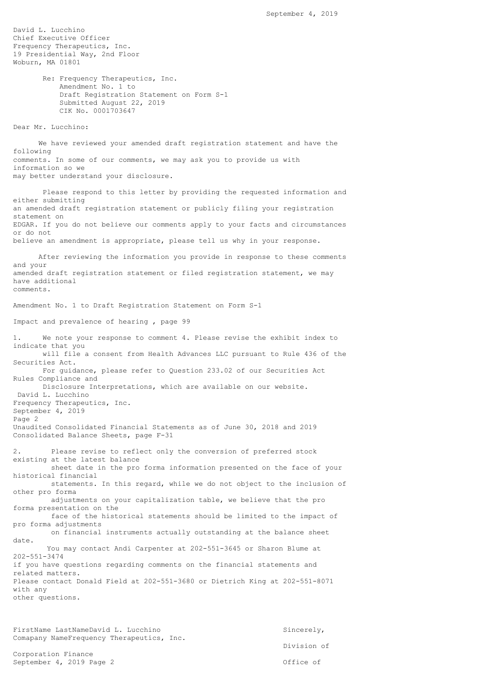David L. Lucchino Chief Executive Officer Frequency Therapeutics, Inc. 19 Presidential Way, 2nd Floor Woburn, MA 01801 Re: Frequency Therapeutics, Inc. Amendment No. 1 to Draft Registration Statement on Form S-1 Submitted August 22, 2019 CIK No. 0001703647 Dear Mr. Lucchino: We have reviewed your amended draft registration statement and have the following comments. In some of our comments, we may ask you to provide us with information so we may better understand your disclosure. Please respond to this letter by providing the requested information and either submitting an amended draft registration statement or publicly filing your registration statement on EDGAR. If you do not believe our comments apply to your facts and circumstances or do not believe an amendment is appropriate, please tell us why in your response. After reviewing the information you provide in response to these comments and your amended draft registration statement or filed registration statement, we may have additional comments. Amendment No. 1 to Draft Registration Statement on Form S-1 Impact and prevalence of hearing , page 99 1. We note your response to comment 4. Please revise the exhibit index to indicate that you will file a consent from Health Advances LLC pursuant to Rule 436 of the Securities Act. For guidance, please refer to Question 233.02 of our Securities Act Rules Compliance and Disclosure Interpretations, which are available on our website. David L. Lucchino Frequency Therapeutics, Inc. September 4, 2019 Page 2 Unaudited Consolidated Financial Statements as of June 30, 2018 and 2019 Consolidated Balance Sheets, page F-31 2. Please revise to reflect only the conversion of preferred stock existing at the latest balance sheet date in the pro forma information presented on the face of your historical financial statements. In this regard, while we do not object to the inclusion of other pro forma adjustments on your capitalization table, we believe that the pro forma presentation on the face of the historical statements should be limited to the impact of pro forma adjustments on financial instruments actually outstanding at the balance sheet date. You may contact Andi Carpenter at 202-551-3645 or Sharon Blume at 202-551-3474 if you have questions regarding comments on the financial statements and related matters. Please contact Donald Field at 202-551-3680 or Dietrich King at 202-551-8071 with any other questions. FirstName LastNameDavid L. Lucchino Sincerely,

Comapany NameFrequency Therapeutics, Inc. Division of Corporation Finance September 4, 2019 Page 2 Office of